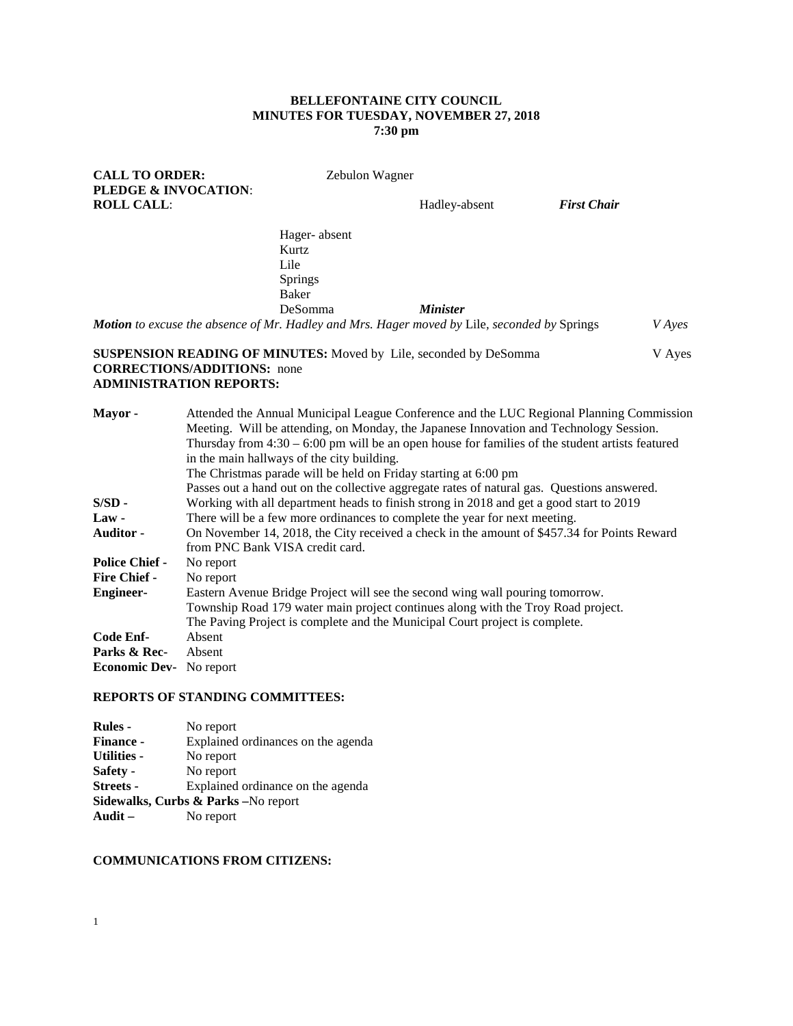### **BELLEFONTAINE CITY COUNCIL MINUTES FOR TUESDAY, NOVEMBER 27, 2018 7:30 pm**

# **CALL TO ORDER:** Zebulon Wagner **PLEDGE & INVOCATION**: **ROLL CALL: Hadley-absent** *First Chair* Hager- absent Kurtz Lile Springs Baker DeSomma *Minister Motion to excuse the absence of Mr. Hadley and Mrs. Hager moved by* Lile*, seconded by* Springs *V Ayes*  **SUSPENSION READING OF MINUTES:** Moved by Lile, seconded by DeSomma V Ayes **CORRECTIONS/ADDITIONS:** none **ADMINISTRATION REPORTS: Mayor -** Attended the Annual Municipal League Conference and the LUC Regional Planning Commission Meeting. Will be attending, on Monday, the Japanese Innovation and Technology Session. Thursday from 4:30 – 6:00 pm will be an open house for families of the student artists featured in the main hallways of the city building. The Christmas parade will be held on Friday starting at 6:00 pm Passes out a hand out on the collective aggregate rates of natural gas. Questions answered. **S/SD -** Working with all department heads to finish strong in 2018 and get a good start to 2019 **Law -** There will be a few more ordinances to complete the year for next meeting There will be a few more ordinances to complete the year for next meeting. **Auditor -** On November 14, 2018, the City received a check in the amount of \$457.34 for Points Reward from PNC Bank VISA credit card. **Police Chief -Fire Chief -** No report **Engineer-** Eastern Avenue Bridge Project will see the second wing wall pouring tomorrow. Township Road 179 water main project continues along with the Troy Road project. The Paving Project is complete and the Municipal Court project is complete. **Code Enf-** Absent **Parks & Rec-** Absent **Economic Dev-** No report

#### **REPORTS OF STANDING COMMITTEES:**

| <b>Rules -</b>                                  | No report                          |  |  |
|-------------------------------------------------|------------------------------------|--|--|
| <b>Finance -</b>                                | Explained ordinances on the agenda |  |  |
| <b>Utilities -</b>                              | No report                          |  |  |
| Safety -                                        | No report                          |  |  |
| <b>Streets -</b>                                | Explained ordinance on the agenda  |  |  |
| <b>Sidewalks, Curbs &amp; Parks</b> – No report |                                    |  |  |
| Audit $-$                                       | No report                          |  |  |

#### **COMMUNICATIONS FROM CITIZENS:**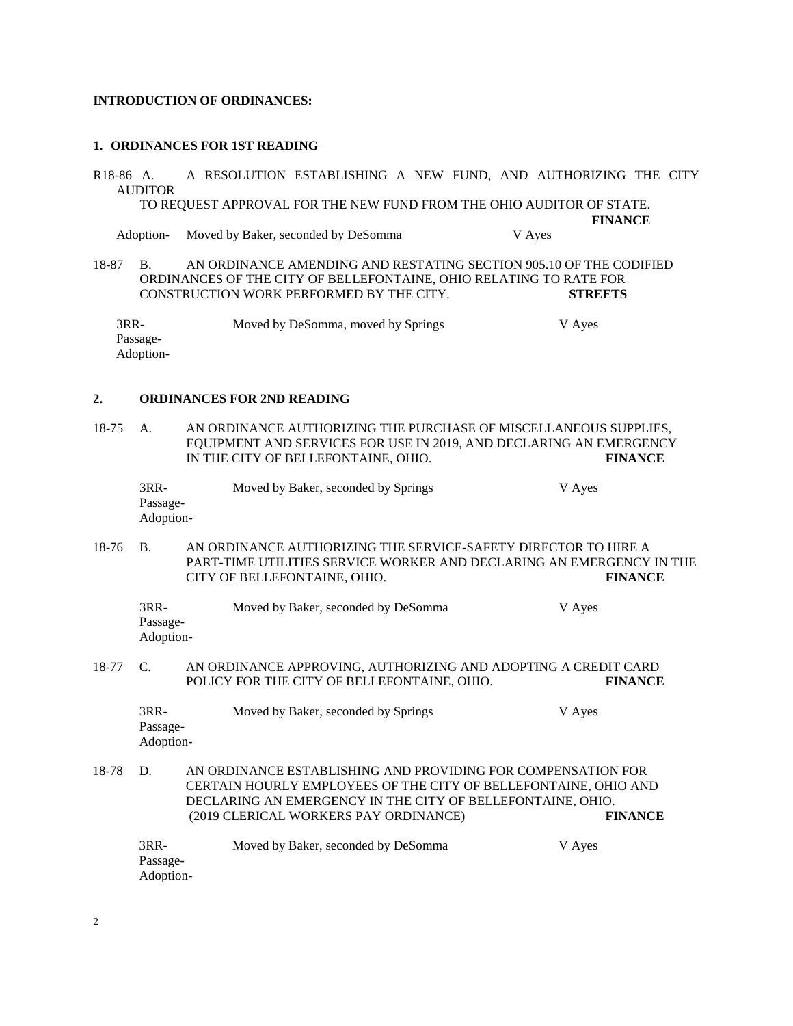## **INTRODUCTION OF ORDINANCES:**

### **1. ORDINANCES FOR 1ST READING**

R18-86 A. A RESOLUTION ESTABLISHING A NEW FUND, AND AUTHORIZING THE CITY AUDITOR TO REQUEST APPROVAL FOR THE NEW FUND FROM THE OHIO AUDITOR OF STATE. **FINANCE** Adoption- Moved by Baker, seconded by DeSomma V Ayes

18-87 B. AN ORDINANCE AMENDING AND RESTATING SECTION 905.10 OF THE CODIFIED ORDINANCES OF THE CITY OF BELLEFONTAINE, OHIO RELATING TO RATE FOR CONSTRUCTION WORK PERFORMED BY THE CITY. **STREETS**

3RR- Moved by DeSomma, moved by Springs V Ayes Passage-Adoption-

### **2. ORDINANCES FOR 2ND READING**

18-75 A. AN ORDINANCE AUTHORIZING THE PURCHASE OF MISCELLANEOUS SUPPLIES, EQUIPMENT AND SERVICES FOR USE IN 2019, AND DECLARING AN EMERGENCY IN THE CITY OF BELLEFONTAINE, OHIO. **FINANCE**

| $3RR-$    | Moved by Baker, seconded by Springs | V Ayes |
|-----------|-------------------------------------|--------|
| Passage-  |                                     |        |
| Adoption- |                                     |        |

18-76 B. AN ORDINANCE AUTHORIZING THE SERVICE-SAFETY DIRECTOR TO HIRE A PART-TIME UTILITIES SERVICE WORKER AND DECLARING AN EMERGENCY IN THE CITY OF BELLEFONTAINE, OHIO. **FINANCE**

| 3RR-      | Moved by Baker, seconded by DeSomma | V Ayes |
|-----------|-------------------------------------|--------|
| Passage-  |                                     |        |
| Adoption- |                                     |        |

#### 18-77 C. AN ORDINANCE APPROVING, AUTHORIZING AND ADOPTING A CREDIT CARD POLICY FOR THE CITY OF BELLEFONTAINE, OHIO. **FINANCE**

| 3RR-      | Moved by Baker, seconded by Springs | V Ayes |
|-----------|-------------------------------------|--------|
| Passage-  |                                     |        |
| Adoption- |                                     |        |

18-78 D. AN ORDINANCE ESTABLISHING AND PROVIDING FOR COMPENSATION FOR CERTAIN HOURLY EMPLOYEES OF THE CITY OF BELLEFONTAINE, OHIO AND DECLARING AN EMERGENCY IN THE CITY OF BELLEFONTAINE, OHIO. (2019 CLERICAL WORKERS PAY ORDINANCE) **FINANCE**

| $3RR-$    | Moved by Baker, seconded by DeSomma | V Ayes |
|-----------|-------------------------------------|--------|
| Passage-  |                                     |        |
| Adoption- |                                     |        |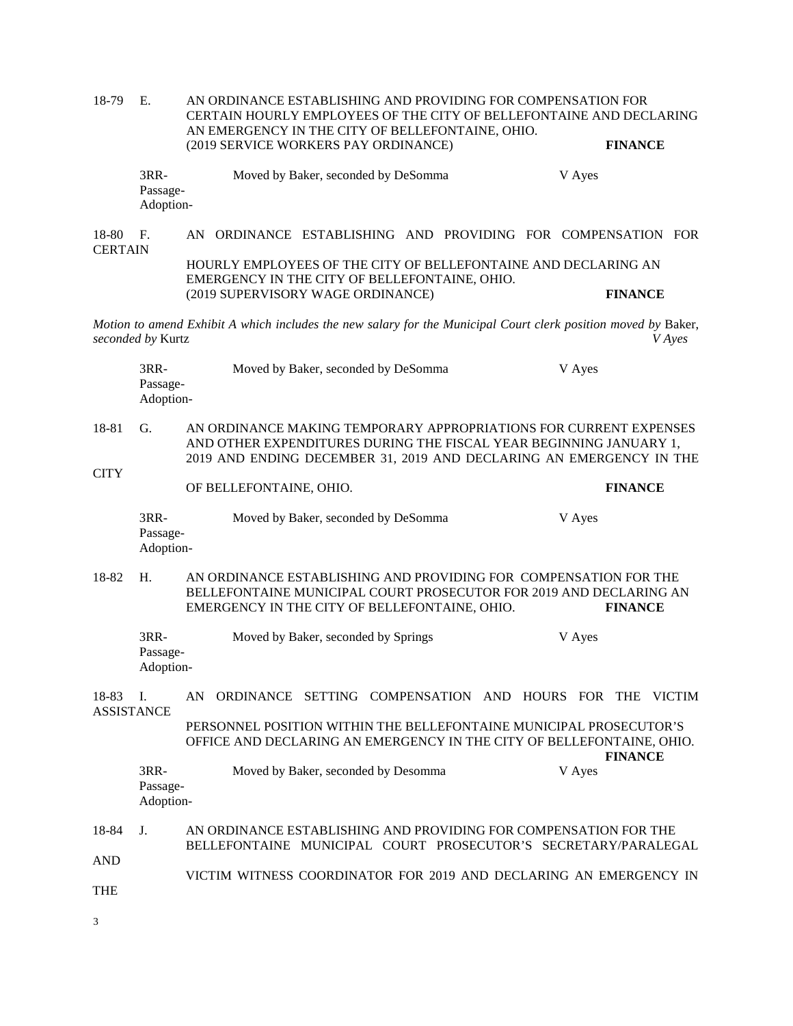| 18-79                      | E.                                                                                                                                                                                                                   | AN ORDINANCE ESTABLISHING AND PROVIDING FOR COMPENSATION FOR<br>CERTAIN HOURLY EMPLOYEES OF THE CITY OF BELLEFONTAINE AND DECLARING<br>AN EMERGENCY IN THE CITY OF BELLEFONTAINE, OHIO. |                |  |
|----------------------------|----------------------------------------------------------------------------------------------------------------------------------------------------------------------------------------------------------------------|-----------------------------------------------------------------------------------------------------------------------------------------------------------------------------------------|----------------|--|
|                            |                                                                                                                                                                                                                      | (2019 SERVICE WORKERS PAY ORDINANCE)                                                                                                                                                    | <b>FINANCE</b> |  |
|                            | 3RR-<br>Passage-<br>Adoption-                                                                                                                                                                                        | Moved by Baker, seconded by DeSomma                                                                                                                                                     | V Ayes         |  |
| 18-80<br><b>CERTAIN</b>    | F <sub>1</sub>                                                                                                                                                                                                       | AN ORDINANCE ESTABLISHING AND PROVIDING FOR COMPENSATION FOR<br>HOURLY EMPLOYEES OF THE CITY OF BELLEFONTAINE AND DECLARING AN                                                          |                |  |
|                            |                                                                                                                                                                                                                      | EMERGENCY IN THE CITY OF BELLEFONTAINE, OHIO.<br>(2019 SUPERVISORY WAGE ORDINANCE)                                                                                                      | <b>FINANCE</b> |  |
|                            | seconded by Kurtz                                                                                                                                                                                                    | Motion to amend Exhibit A which includes the new salary for the Municipal Court clerk position moved by Baker,                                                                          | <i>V</i> Ayes  |  |
|                            | 3RR-<br>Passage-<br>Adoption-                                                                                                                                                                                        | Moved by Baker, seconded by DeSomma                                                                                                                                                     | V Ayes         |  |
| 18-81                      | G.<br>AN ORDINANCE MAKING TEMPORARY APPROPRIATIONS FOR CURRENT EXPENSES<br>AND OTHER EXPENDITURES DURING THE FISCAL YEAR BEGINNING JANUARY 1,<br>2019 AND ENDING DECEMBER 31, 2019 AND DECLARING AN EMERGENCY IN THE |                                                                                                                                                                                         |                |  |
| <b>CITY</b>                |                                                                                                                                                                                                                      | OF BELLEFONTAINE, OHIO.                                                                                                                                                                 | <b>FINANCE</b> |  |
|                            | 3RR-<br>Passage-<br>Adoption-                                                                                                                                                                                        | Moved by Baker, seconded by DeSomma                                                                                                                                                     | V Ayes         |  |
| 18-82                      | H.                                                                                                                                                                                                                   | AN ORDINANCE ESTABLISHING AND PROVIDING FOR COMPENSATION FOR THE<br>BELLEFONTAINE MUNICIPAL COURT PROSECUTOR FOR 2019 AND DECLARING AN<br>EMERGENCY IN THE CITY OF BELLEFONTAINE, OHIO. | <b>FINANCE</b> |  |
|                            | 3RR-<br>Passage-<br>Adoption-                                                                                                                                                                                        | Moved by Baker, seconded by Springs                                                                                                                                                     | V Ayes         |  |
| 18-83<br><b>ASSISTANCE</b> | I.                                                                                                                                                                                                                   | AN ORDINANCE SETTING COMPENSATION AND HOURS FOR THE VICTIM                                                                                                                              |                |  |
|                            |                                                                                                                                                                                                                      | PERSONNEL POSITION WITHIN THE BELLEFONTAINE MUNICIPAL PROSECUTOR'S<br>OFFICE AND DECLARING AN EMERGENCY IN THE CITY OF BELLEFONTAINE, OHIO.                                             | <b>FINANCE</b> |  |
|                            | $3RR-$<br>Passage-<br>Adoption-                                                                                                                                                                                      | Moved by Baker, seconded by Desomma                                                                                                                                                     | V Ayes         |  |
| 18-84                      | J.                                                                                                                                                                                                                   | AN ORDINANCE ESTABLISHING AND PROVIDING FOR COMPENSATION FOR THE<br>BELLEFONTAINE MUNICIPAL COURT PROSECUTOR'S SECRETARY/PARALEGAL                                                      |                |  |
| <b>AND</b>                 |                                                                                                                                                                                                                      |                                                                                                                                                                                         |                |  |
|                            |                                                                                                                                                                                                                      | VICTIM WITNESS COORDINATOR FOR 2019 AND DECLARING AN EMERGENCY IN                                                                                                                       |                |  |

3